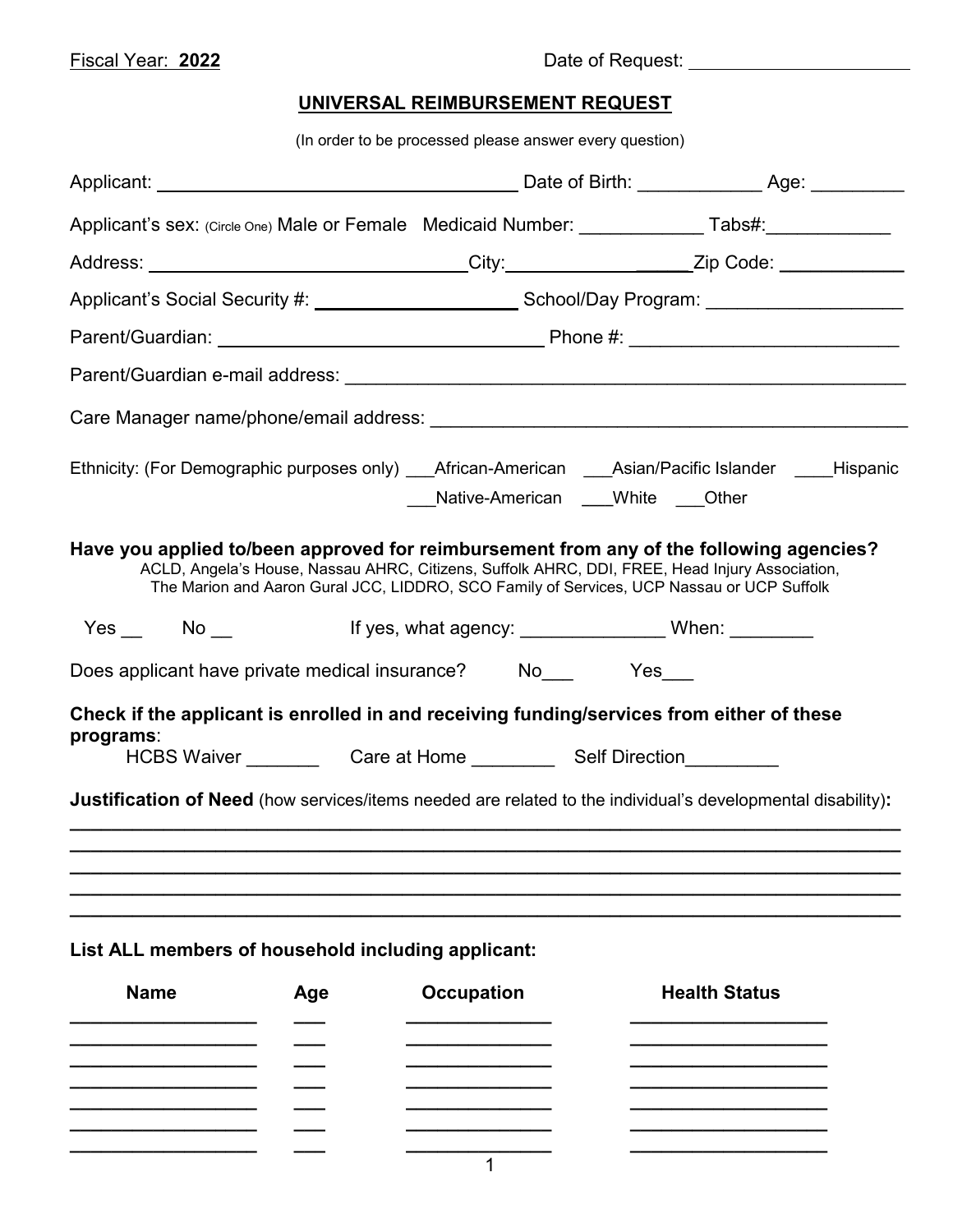## **UNIVERSAL REIMBURSEMENT REQUEST**

(In order to be processed please answer every question)

| Applicant's sex: (Circle One) Male or Female Medicaid Number: ___________________ Tabs#:____________                                                                                                                                                                                   |     |                                                                              |                                                                                                     |                      |  |  |  |
|----------------------------------------------------------------------------------------------------------------------------------------------------------------------------------------------------------------------------------------------------------------------------------------|-----|------------------------------------------------------------------------------|-----------------------------------------------------------------------------------------------------|----------------------|--|--|--|
| Address: ________________________________City:__________________Zip Code: ____________                                                                                                                                                                                                 |     |                                                                              |                                                                                                     |                      |  |  |  |
|                                                                                                                                                                                                                                                                                        |     |                                                                              | Applicant's Social Security #: ___________________________School/Day Program: _____________________ |                      |  |  |  |
|                                                                                                                                                                                                                                                                                        |     |                                                                              |                                                                                                     |                      |  |  |  |
|                                                                                                                                                                                                                                                                                        |     |                                                                              |                                                                                                     |                      |  |  |  |
|                                                                                                                                                                                                                                                                                        |     |                                                                              |                                                                                                     |                      |  |  |  |
| Ethnicity: (For Demographic purposes only) ___African-American ____Asian/Pacific Islander _____Hispanic                                                                                                                                                                                |     | Native-American ___White Other                                               |                                                                                                     |                      |  |  |  |
| Have you applied to/been approved for reimbursement from any of the following agencies?<br>ACLD, Angela's House, Nassau AHRC, Citizens, Suffolk AHRC, DDI, FREE, Head Injury Association,<br>The Marion and Aaron Gural JCC, LIDDRO, SCO Family of Services, UCP Nassau or UCP Suffolk |     |                                                                              |                                                                                                     |                      |  |  |  |
| Yes __ No __ lf yes, what agency: _____________ When: _______                                                                                                                                                                                                                          |     |                                                                              |                                                                                                     |                      |  |  |  |
| Does applicant have private medical insurance? No No No Yes                                                                                                                                                                                                                            |     |                                                                              |                                                                                                     |                      |  |  |  |
| Check if the applicant is enrolled in and receiving funding/services from either of these<br>programs:<br>Justification of Need (how services/items needed are related to the individual's developmental disability):                                                                  |     | HCBS Waiver ____________Care at Home ______________Self Direction___________ |                                                                                                     |                      |  |  |  |
| List ALL members of household including applicant:<br><b>Name</b>                                                                                                                                                                                                                      | Age | <b>Occupation</b>                                                            |                                                                                                     | <b>Health Status</b> |  |  |  |
|                                                                                                                                                                                                                                                                                        |     | 1                                                                            |                                                                                                     |                      |  |  |  |